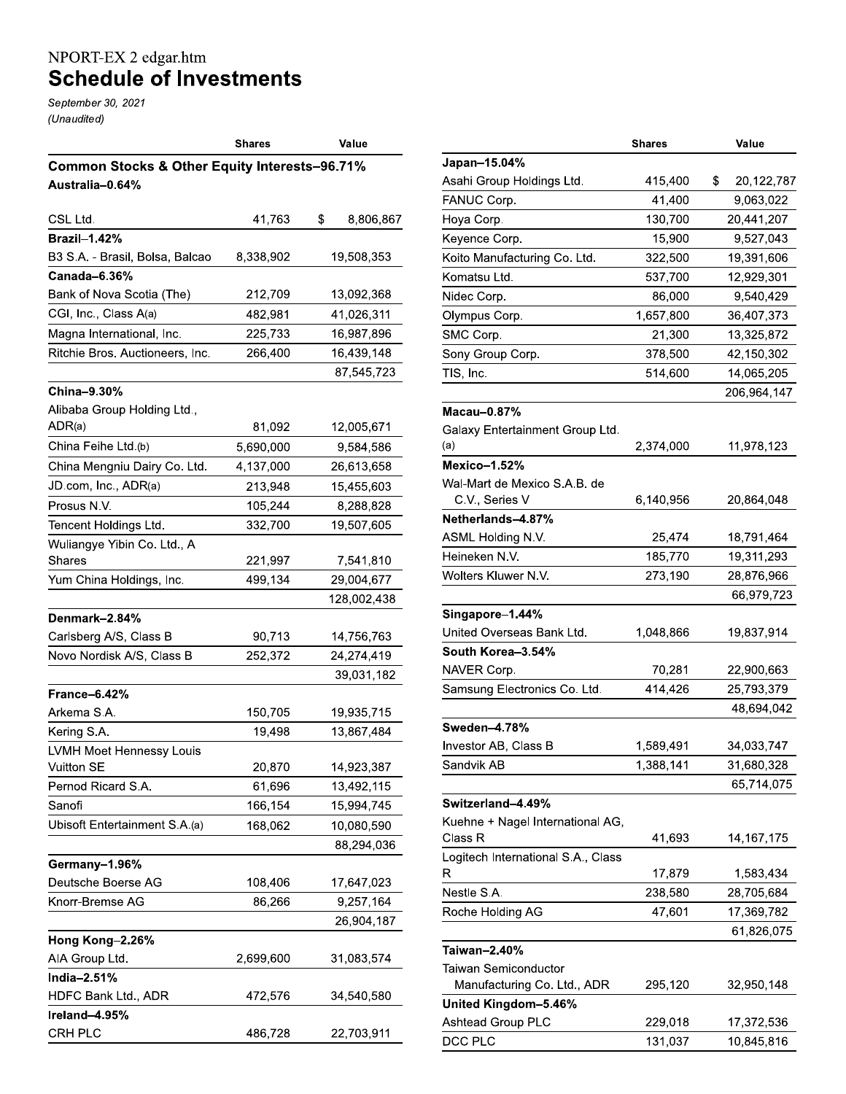## NPORT-EX 2 edgar.htm<br>Schedule of Investments

September 30, 2021 (Unaudited)

|                                                          | <b>Shares</b> | Value           |
|----------------------------------------------------------|---------------|-----------------|
| <b>Common Stocks &amp; Other Equity Interests-96.71%</b> |               |                 |
| Australia-0.64%                                          |               |                 |
|                                                          |               |                 |
| CSL Ltd.                                                 | 41,763        | \$<br>8,806,867 |
| <b>Brazil-1.42%</b>                                      |               |                 |
| B3 S.A. - Brasil, Bolsa, Balcao                          | 8,338,902     | 19,508,353      |
| Canada-6.36%                                             |               |                 |
| Bank of Nova Scotia (The)                                | 212,709       | 13,092,368      |
| CGI, Inc., Class A(a)                                    | 482,981       | 41,026,311      |
| Magna International, Inc.                                | 225,733       | 16,987,896      |
| Ritchie Bros. Auctioneers, Inc.                          | 266,400       | 16,439,148      |
|                                                          |               | 87,545,723      |
| China-9.30%                                              |               |                 |
| Alibaba Group Holding Ltd.,                              |               |                 |
| ADR(a)                                                   | 81,092        | 12,005,671      |
| China Feihe Ltd.(b)                                      | 5,690,000     | 9,584,586       |
| China Mengniu Dairy Co. Ltd.                             | 4,137,000     | 26,613,658      |
| JD.com, Inc., ADR(a)                                     | 213,948       | 15,455,603      |
| Prosus N.V.                                              | 105,244       | 8,288,828       |
| Tencent Holdings Ltd.                                    | 332,700       | 19,507,605      |
| Wuliangye Yibin Co. Ltd., A                              |               |                 |
| Shares                                                   | 221,997       | 7,541,810       |
| Yum China Holdings, Inc.                                 | 499,134       | 29,004,677      |
|                                                          |               | 128,002,438     |
| Denmark-2.84%                                            |               |                 |
| Carlsberg A/S, Class B                                   | 90,713        | 14,756,763      |
| Novo Nordisk A/S, Class B                                | 252,372       | 24,274,419      |
|                                                          |               | 39,031,182      |
| France-6.42%                                             |               |                 |
| Arkema S.A.                                              | 150,705       | 19,935,715      |
| Kering S.A.                                              | 19,498        | 13,867,484      |
| LVMH Moet Hennessy Louis                                 |               |                 |
| Vuitton SE                                               | 20,870        | 14,923,387      |
| Pernod Ricard S.A.                                       | 61,696        | 13,492,115      |
| Sanofi                                                   | 166,154       | 15,994,745      |
| Ubisoft Entertainment S.A.(a)                            | 168,062       | 10,080,590      |
|                                                          |               | 88,294,036      |
| Germany-1.96%                                            |               |                 |
| Deutsche Boerse AG                                       | 108,406       | 17,647,023      |
| Knorr-Bremse AG                                          | 86,266        | 9,257,164       |
|                                                          |               | 26,904,187      |
| Hong Kong-2.26%                                          |               |                 |
| AIA Group Ltd.                                           | 2,699,600     | 31,083,574      |
| India-2.51%                                              |               |                 |
| HDFC Bank Ltd., ADR                                      | 472,576       | 34,540,580      |
| Ireland-4.95%                                            |               |                 |
| CRH PLC                                                  | 486,728       | 22,703,911      |

|                                    | Shares    | Value            |
|------------------------------------|-----------|------------------|
| Japan-15.04%                       |           |                  |
| Asahi Group Holdings Ltd.          | 415,400   | \$<br>20,122,787 |
| FANUC Corp.                        | 41,400    | 9,063,022        |
| Hoya Corp.                         | 130,700   | 20,441,207       |
| Keyence Corp.                      | 15,900    | 9,527,043        |
| Koito Manufacturing Co. Ltd.       | 322,500   | 19,391,606       |
| Komatsu Ltd.                       | 537,700   | 12,929,301       |
| Nidec Corp.                        | 86,000    | 9,540,429        |
| Olympus Corp.                      | 1,657,800 | 36,407,373       |
| SMC Corp.                          | 21,300    | 13,325,872       |
| Sony Group Corp.                   | 378,500   | 42,150,302       |
| TIS, Inc.                          | 514,600   | 14,065,205       |
|                                    |           | 206,964,147      |
| Macau-0.87 $%$                     |           |                  |
| Galaxy Entertainment Group Ltd.    |           |                  |
| (a)                                | 2,374,000 | 11,978,123       |
| <b>Mexico-1.52%</b>                |           |                  |
| Wal-Mart de Mexico S.A.B. de       |           |                  |
| C.V., Series V                     | 6,140,956 | 20,864,048       |
| Netherlands-4.87%                  |           |                  |
| ASML Holding N.V.                  | 25,474    | 18,791,464       |
| Heineken N.V.                      | 185,770   | 19,311,293       |
| Wolters Kluwer N.V.                | 273,190   | 28,876,966       |
|                                    |           | 66,979,723       |
| Singapore-1.44%                    |           |                  |
| United Overseas Bank Ltd.          | 1,048,866 | 19,837,914       |
| South Korea-3.54%                  |           |                  |
| NAVER Corp.                        | 70,281    | 22,900,663       |
| Samsung Electronics Co. Ltd.       | 414,426   | 25,793,379       |
|                                    |           | 48,694,042       |
| Sweden-4.78%                       |           |                  |
| Investor AB, Class B               | 1,589,491 | 34,033,747       |
| Sandvik AB                         | 1,388,141 | 31,680,328       |
|                                    |           | 65,714,075       |
| Switzerland-4.49%                  |           |                  |
| Kuehne + Nagel International AG,   |           |                  |
| Class R                            | 41,693    | 14,167,175       |
| Logitech International S.A., Class |           |                  |
| R                                  | 17,879    | 1,583,434        |
| Nestle S.A.                        | 238,580   | 28,705,684       |
| Roche Holding AG                   | 47,601    | 17,369,782       |
|                                    |           | 61,826,075       |
| Taiwan-2.40%                       |           |                  |
| Taiwan Semiconductor               |           |                  |
| Manufacturing Co. Ltd., ADR        | 295,120   | 32,950,148       |
| United Kingdom-5.46%               |           |                  |
| <b>Ashtead Group PLC</b>           | 229,018   | 17,372,536       |
| DCC PLC                            | 131,037   | 10,845,816       |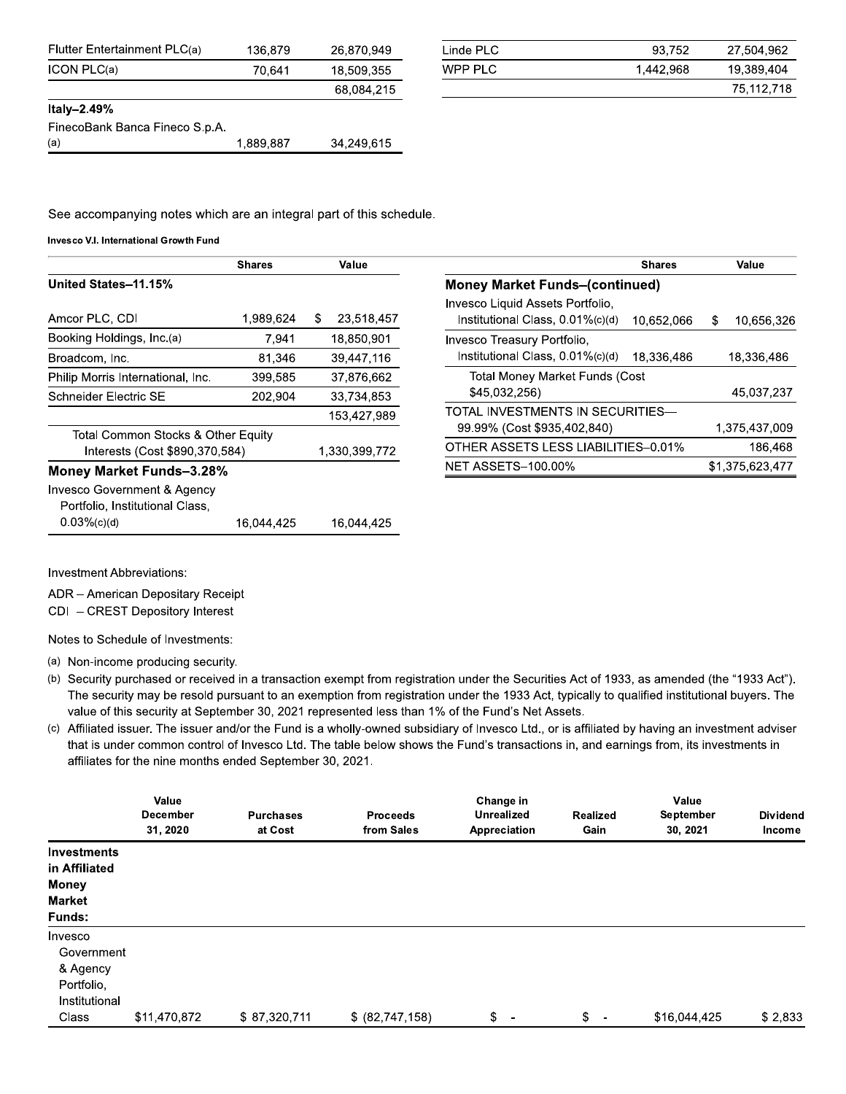| Flutter Entertainment PLC(a)   | 136.879   | 26.870.949 |
|--------------------------------|-----------|------------|
| ICON PLC(a)                    | 70.641    | 18.509.355 |
|                                |           | 68.084,215 |
| Italy-2.49%                    |           |            |
| FinecoBank Banca Fineco S.p.A. |           |            |
| (a)                            | 1 889 887 | 34 249 615 |

| Linde PLC | 93.752    | 27,504,962 |
|-----------|-----------|------------|
| WPP PLC   | 1,442,968 | 19,389,404 |
|           |           | 75.112.718 |

See accompanying notes which are an integral part of this schedule.

16,044,425

Invesco V.I. International Growth Fund

|                                                                | <b>Shares</b> | Value            | <b>Shares</b>                                                                      | Value           |
|----------------------------------------------------------------|---------------|------------------|------------------------------------------------------------------------------------|-----------------|
| United States-11.15%                                           |               |                  | <b>Money Market Funds-(continued)</b>                                              |                 |
| Amcor PLC, CDI                                                 | 1,989,624     | 23,518,457<br>S. | Invesco Liquid Assets Portfolio.<br>Institutional Class, 0.01%(c)(d)<br>10.652.066 | 10.656.326<br>S |
| Booking Holdings, Inc.(a)                                      | 7,941         | 18,850,901       | Invesco Treasury Portfolio,                                                        |                 |
| Broadcom, Inc.                                                 | 81.346        | 39,447,116       | Institutional Class, 0.01%(c)(d)<br>18,336,486                                     | 18,336,486      |
| Philip Morris International, Inc.                              | 399,585       | 37,876,662       | Total Money Market Funds (Cost                                                     |                 |
| Schneider Electric SE                                          | 202,904       | 33,734,853       | \$45,032,256)                                                                      | 45,037,237      |
|                                                                |               | 153,427,989      | TOTAL INVESTMENTS IN SECURITIES—                                                   |                 |
| Total Common Stocks & Other Equity                             |               |                  | 99.99% (Cost \$935,402,840)                                                        | 1,375,437,009   |
| Interests (Cost \$890,370,584)                                 |               | 1,330,399,772    | OTHER ASSETS LESS LIABILITIES-0.01%                                                | 186,468         |
| <b>Money Market Funds-3.28%</b>                                |               |                  | <b>NET ASSETS-100.00%</b>                                                          | \$1,375,623,477 |
| Invesco Government & Agency<br>Portfolio, Institutional Class, |               |                  |                                                                                    |                 |

16,044,425

Investment Abbreviations:

 $0.03%$ (c)(d)

ADR - American Depositary Receipt

CDI - CREST Depository Interest

Notes to Schedule of Investments:

(a) Non-income producing security.

(b) Security purchased or received in a transaction exempt from registration under the Securities Act of 1933, as amended (the "1933 Act"). The security may be resold pursuant to an exemption from registration under the 1933 Act, typically to qualified institutional buyers. The value of this security at September 30, 2021 represented less than 1% of the Fund's Net Assets.

(c) Affiliated issuer. The issuer and/or the Fund is a wholly-owned subsidiary of Invesco Ltd., or is affiliated by having an investment adviser that is under common control of Invesco Ltd. The table below shows the Fund's transactions in, and earnings from, its investments in affiliates for the nine months ended September 30, 2021.

|                    | Value<br><b>December</b><br>31, 2020 | <b>Purchases</b><br>at Cost | <b>Proceeds</b><br>from Sales | Change in<br><b>Unrealized</b><br>Appreciation | <b>Realized</b><br>Gain        | Value<br>September<br>30, 2021 | <b>Dividend</b><br>Income |
|--------------------|--------------------------------------|-----------------------------|-------------------------------|------------------------------------------------|--------------------------------|--------------------------------|---------------------------|
| <b>Investments</b> |                                      |                             |                               |                                                |                                |                                |                           |
| in Affiliated      |                                      |                             |                               |                                                |                                |                                |                           |
| <b>Money</b>       |                                      |                             |                               |                                                |                                |                                |                           |
| <b>Market</b>      |                                      |                             |                               |                                                |                                |                                |                           |
| Funds:             |                                      |                             |                               |                                                |                                |                                |                           |
| Invesco            |                                      |                             |                               |                                                |                                |                                |                           |
| Government         |                                      |                             |                               |                                                |                                |                                |                           |
| & Agency           |                                      |                             |                               |                                                |                                |                                |                           |
| Portfolio.         |                                      |                             |                               |                                                |                                |                                |                           |
| Institutional      |                                      |                             |                               |                                                |                                |                                |                           |
| Class              | \$11,470,872                         | \$87,320,711                | \$ (82,747,158)               | $\mathfrak{L}$<br>$\overline{\phantom{a}}$     | \$<br>$\overline{\phantom{a}}$ | \$16,044,425                   | \$2,833                   |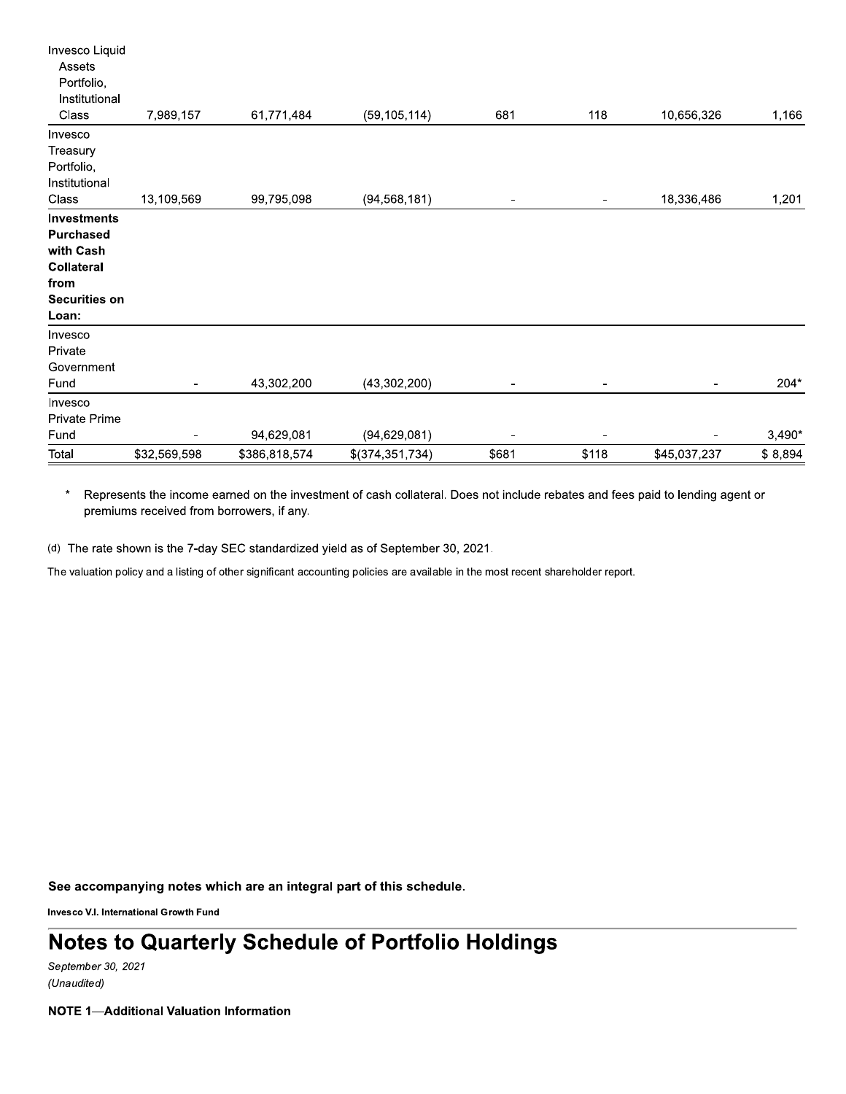| Invesco Liquid       |              |               |                 |       |       |              |          |
|----------------------|--------------|---------------|-----------------|-------|-------|--------------|----------|
| Assets               |              |               |                 |       |       |              |          |
| Portfolio,           |              |               |                 |       |       |              |          |
| Institutional        |              |               |                 |       |       |              |          |
| Class                | 7,989,157    | 61,771,484    | (59, 105, 114)  | 681   | 118   | 10,656,326   | 1,166    |
| Invesco              |              |               |                 |       |       |              |          |
| Treasury             |              |               |                 |       |       |              |          |
| Portfolio,           |              |               |                 |       |       |              |          |
| Institutional        |              |               |                 |       |       |              |          |
| Class                | 13,109,569   | 99,795,098    | (94, 568, 181)  |       |       | 18,336,486   | 1,201    |
| <b>Investments</b>   |              |               |                 |       |       |              |          |
| <b>Purchased</b>     |              |               |                 |       |       |              |          |
| with Cash            |              |               |                 |       |       |              |          |
| Collateral           |              |               |                 |       |       |              |          |
| from                 |              |               |                 |       |       |              |          |
| <b>Securities on</b> |              |               |                 |       |       |              |          |
| Loan:                |              |               |                 |       |       |              |          |
| Invesco              |              |               |                 |       |       |              |          |
| Private              |              |               |                 |       |       |              |          |
| Government           |              |               |                 |       |       |              |          |
| Fund                 |              | 43,302,200    | (43, 302, 200)  |       |       |              | 204*     |
| Invesco              |              |               |                 |       |       |              |          |
| Private Prime        |              |               |                 |       |       |              |          |
| Fund                 |              | 94,629,081    | (94, 629, 081)  |       |       |              | $3,490*$ |
| Total                | \$32,569,598 | \$386,818,574 | \$(374,351,734) | \$681 | \$118 | \$45,037,237 | \$8,894  |

 $\star$ Represents the income earned on the investment of cash collateral. Does not include rebates and fees paid to lending agent or premiums received from borrowers, if any.

(d) The rate shown is the 7-day SEC standardized yield as of September 30, 2021.

The valuation policy and a listing of other significant accounting policies are available in the most recent shareholder report.

See accompanying notes which are an integral part of this schedule.

Invesco V.I. International Growth Fund

## **Notes to Quarterly Schedule of Portfolio Holdings**

September 30, 2021 (Unaudited)

**NOTE 1-Additional Valuation Information**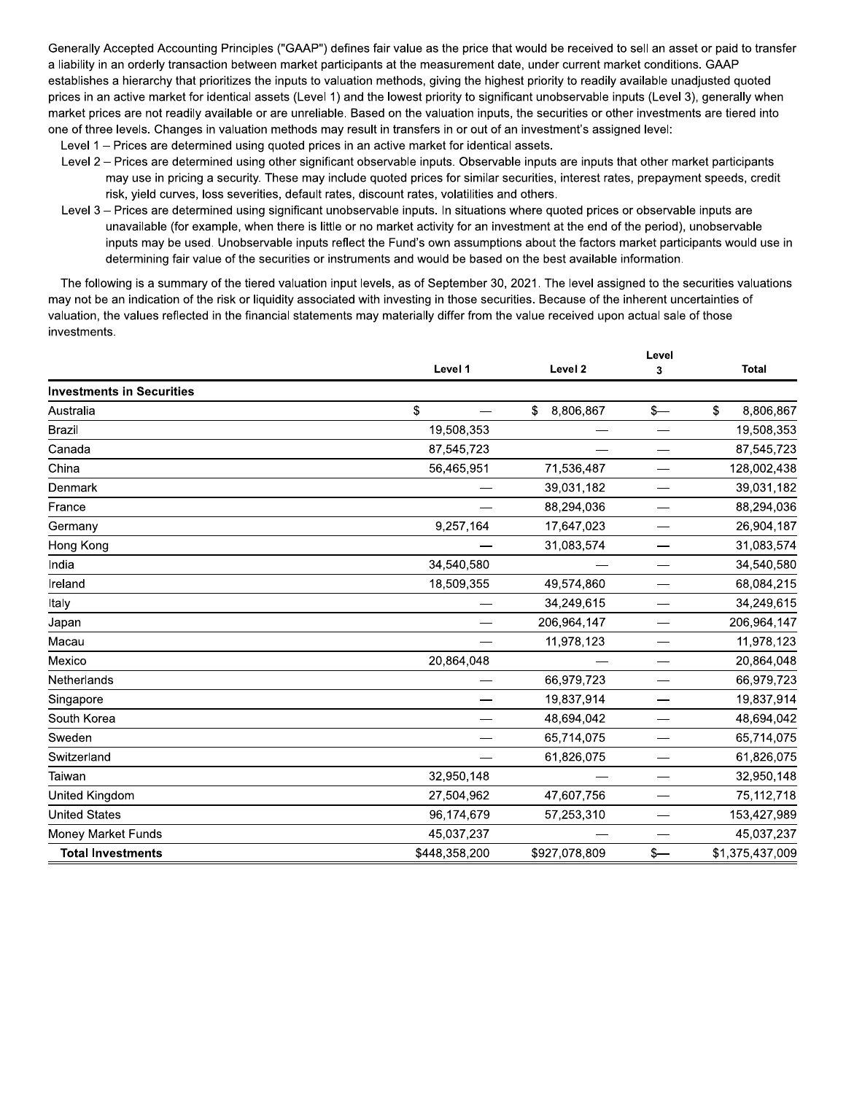Generally Accepted Accounting Principles ("GAAP") defines fair value as the price that would be received to sell an asset or paid to transfer a liability in an orderly transaction between market participants at the measurement date, under current market conditions. GAAP establishes a hierarchy that prioritizes the inputs to valuation methods, giving the highest priority to readily available unadjusted quoted prices in an active market for identical assets (Level 1) and the lowest priority to significant unobservable inputs (Level 3), generally when market prices are not readily available or are unreliable. Based on the valuation inputs, the securities or other investments are tiered into one of three levels. Changes in valuation methods may result in transfers in or out of an investment's assigned level:

- Level 1 Prices are determined using quoted prices in an active market for identical assets.
- Level 2 Prices are determined using other significant observable inputs. Observable inputs are inputs that other market participants may use in pricing a security. These may include quoted prices for similar securities, interest rates, prepayment speeds, credit risk, yield curves, loss severities, default rates, discount rates, volatilities and others.
- Level 3 Prices are determined using significant unobservable inputs. In situations where quoted prices or observable inputs are unavailable (for example, when there is little or no market activity for an investment at the end of the period), unobservable inputs may be used. Unobservable inputs reflect the Fund's own assumptions about the factors market participants would use in determining fair value of the securities or instruments and would be based on the best available information.

The following is a summary of the tiered valuation input levels, as of September 30, 2021. The level assigned to the securities valuations may not be an indication of the risk or liquidity associated with investing in those securities. Because of the inherent uncertainties of valuation, the values reflected in the financial statements may materially differ from the value received upon actual sale of those investments.

|                                  | Level 1       | Level 2         | 3    | <b>Total</b>    |  |
|----------------------------------|---------------|-----------------|------|-----------------|--|
| <b>Investments in Securities</b> |               |                 |      |                 |  |
| Australia                        | \$            | \$<br>8,806,867 | $s-$ | \$<br>8,806,867 |  |
| <b>Brazil</b>                    | 19,508,353    |                 |      | 19,508,353      |  |
| Canada                           | 87,545,723    |                 |      | 87,545,723      |  |
| China                            | 56,465,951    | 71,536,487      |      | 128,002,438     |  |
| Denmark                          |               | 39,031,182      |      | 39,031,182      |  |
| France                           |               | 88,294,036      |      | 88,294,036      |  |
| Germany                          | 9,257,164     | 17,647,023      |      | 26,904,187      |  |
| Hong Kong                        |               | 31,083,574      |      | 31,083,574      |  |
| India                            | 34,540,580    |                 |      | 34,540,580      |  |
| Ireland                          | 18,509,355    | 49,574,860      |      | 68,084,215      |  |
| Italy                            |               | 34,249,615      |      | 34,249,615      |  |
| Japan                            |               | 206,964,147     |      | 206,964,147     |  |
| Macau                            |               | 11,978,123      |      | 11,978,123      |  |
| Mexico                           | 20,864,048    |                 |      | 20,864,048      |  |
| Netherlands                      |               | 66,979,723      |      | 66,979,723      |  |
| Singapore                        |               | 19,837,914      |      | 19,837,914      |  |
| South Korea                      |               | 48,694,042      |      | 48,694,042      |  |
| Sweden                           |               | 65,714,075      | -    | 65,714,075      |  |
| Switzerland                      |               | 61,826,075      |      | 61,826,075      |  |
| Taiwan                           | 32,950,148    |                 |      | 32,950,148      |  |
| United Kingdom                   | 27,504,962    | 47,607,756      |      | 75,112,718      |  |
| <b>United States</b>             | 96,174,679    | 57,253,310      |      | 153,427,989     |  |
| Money Market Funds               | 45,037,237    |                 |      | 45,037,237      |  |
| <b>Total Investments</b>         | \$448,358,200 | \$927,078,809   | $s-$ | \$1,375,437,009 |  |